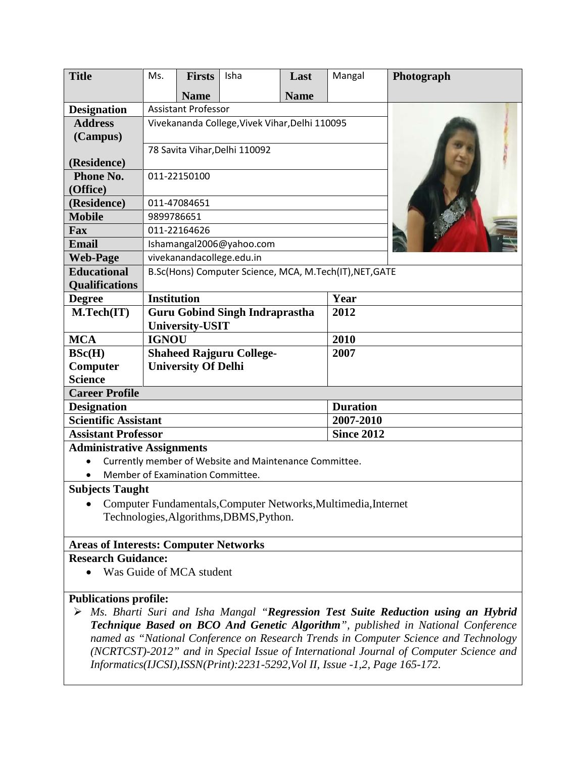| <b>Title</b>                                                   | Ms.                                                     | <b>Firsts</b> | Isha | Last              | Mangal          | Photograph |
|----------------------------------------------------------------|---------------------------------------------------------|---------------|------|-------------------|-----------------|------------|
|                                                                |                                                         | <b>Name</b>   |      | <b>Name</b>       |                 |            |
| <b>Designation</b>                                             | <b>Assistant Professor</b>                              |               |      |                   |                 |            |
| <b>Address</b>                                                 | Vivekananda College, Vivek Vihar, Delhi 110095          |               |      |                   |                 |            |
| (Campus)                                                       |                                                         |               |      |                   |                 |            |
|                                                                | 78 Savita Vihar, Delhi 110092                           |               |      |                   |                 |            |
| (Residence)                                                    |                                                         |               |      |                   |                 |            |
| Phone No.                                                      | 011-22150100                                            |               |      |                   |                 |            |
| (Office)                                                       |                                                         |               |      |                   |                 |            |
| (Residence)                                                    | 011-47084651                                            |               |      |                   |                 |            |
| <b>Mobile</b>                                                  | 9899786651                                              |               |      |                   |                 |            |
| Fax                                                            | 011-22164626                                            |               |      |                   |                 |            |
| <b>Email</b>                                                   | Ishamangal2006@yahoo.com                                |               |      |                   |                 |            |
| <b>Web-Page</b>                                                | vivekanandacollege.edu.in                               |               |      |                   |                 |            |
| <b>Educational</b>                                             | B.Sc(Hons) Computer Science, MCA, M.Tech(IT), NET, GATE |               |      |                   |                 |            |
| <b>Qualifications</b>                                          |                                                         |               |      |                   |                 |            |
| <b>Degree</b>                                                  | <b>Institution</b>                                      |               |      |                   | Year            |            |
| M.Tech(IT)                                                     | <b>Guru Gobind Singh Indraprastha</b>                   |               |      | 2012              |                 |            |
|                                                                | <b>University-USIT</b>                                  |               |      |                   |                 |            |
| <b>MCA</b>                                                     | <b>IGNOU</b>                                            |               |      |                   | 2010            |            |
| BSc(H)                                                         | 2007<br><b>Shaheed Rajguru College-</b>                 |               |      |                   |                 |            |
| Computer                                                       | <b>University Of Delhi</b>                              |               |      |                   |                 |            |
| <b>Science</b>                                                 |                                                         |               |      |                   |                 |            |
| <b>Career Profile</b>                                          |                                                         |               |      |                   |                 |            |
| <b>Designation</b>                                             |                                                         |               |      |                   | <b>Duration</b> |            |
| <b>Scientific Assistant</b>                                    |                                                         |               |      | 2007-2010         |                 |            |
| <b>Assistant Professor</b>                                     |                                                         |               |      | <b>Since 2012</b> |                 |            |
| <b>Administrative Assignments</b>                              |                                                         |               |      |                   |                 |            |
| Currently member of Website and Maintenance Committee.         |                                                         |               |      |                   |                 |            |
| Member of Examination Committee.                               |                                                         |               |      |                   |                 |            |
| <b>Subjects Taught</b>                                         |                                                         |               |      |                   |                 |            |
| Computer Fundamentals, Computer Networks, Multimedia, Internet |                                                         |               |      |                   |                 |            |

Technologies,Algorithms,DBMS,Python.

#### **Areas of Interests: Computer Networks**

## **Research Guidance:**

• Was Guide of MCA student

## **Publications profile:**

 *Ms. Bharti Suri and Isha Mangal "Regression Test Suite Reduction using an Hybrid Technique Based on BCO And Genetic Algorithm", published in National Conference named as "National Conference on Research Trends in Computer Science and Technology (NCRTCST)-2012" and in Special Issue of International Journal of Computer Science and Informatics(IJCSI),ISSN(Print):2231-5292,Vol II, Issue -1,2, Page 165-172.*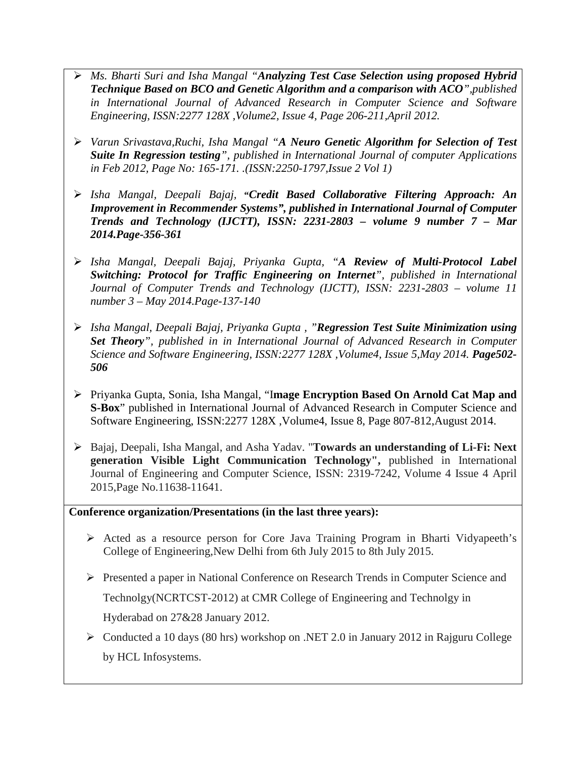- *Ms. Bharti Suri and Isha Mangal "Analyzing Test Case Selection using proposed Hybrid Technique Based on BCO and Genetic Algorithm and a comparison with ACO",published in International Journal of Advanced Research in Computer Science and Software Engineering, ISSN:2277 128X ,Volume2, Issue 4, Page 206-211,April 2012.*
- *Varun Srivastava,Ruchi, Isha Mangal "A Neuro Genetic Algorithm for Selection of Test Suite In Regression testing", published in International Journal of computer Applications in Feb 2012, Page No: 165-171. .(ISSN:2250-1797,Issue 2 Vol 1)*
- *Isha Mangal, Deepali Bajaj,* **"***Credit Based Collaborative Filtering Approach: An Improvement in Recommender Systems", published in International Journal of Computer Trends and Technology (IJCTT), ISSN: 2231-2803 – volume 9 number 7 – Mar 2014.Page-356-361*
- *Isha Mangal, Deepali Bajaj, Priyanka Gupta, "A Review of Multi-Protocol Label Switching: Protocol for Traffic Engineering on Internet", published in International Journal of Computer Trends and Technology (IJCTT), ISSN: 2231-2803 – volume 11 number 3 – May 2014.Page-137-140*
- *Isha Mangal, Deepali Bajaj, Priyanka Gupta , "Regression Test Suite Minimization using Set Theory", published in in International Journal of Advanced Research in Computer Science and Software Engineering, ISSN:2277 128X ,Volume4, Issue 5,May 2014. Page502- 506*
- Priyanka Gupta, Sonia, Isha Mangal, "I**mage Encryption Based On Arnold Cat Map and S-Box**" published in International Journal of Advanced Research in Computer Science and Software Engineering, ISSN:2277 128X ,Volume4, Issue 8, Page 807-812,August 2014.
- Bajaj, Deepali, Isha Mangal, and Asha Yadav. "**Towards an understanding of Li-Fi: Next generation Visible Light Communication Technology",** published in International Journal of Engineering and Computer Science, ISSN: 2319-7242, Volume 4 Issue 4 April 2015,Page No.11638-11641.

### **Conference organization/Presentations (in the last three years):**

- Acted as a resource person for Core Java Training Program in Bharti Vidyapeeth's College of Engineering,New Delhi from 6th July 2015 to 8th July 2015.
- Presented a paper in National Conference on Research Trends in Computer Science and

Technolgy(NCRTCST-2012) at CMR College of Engineering and Technolgy in

Hyderabad on 27&28 January 2012.

 Conducted a 10 days (80 hrs) workshop on .NET 2.0 in January 2012 in Rajguru College by HCL Infosystems.